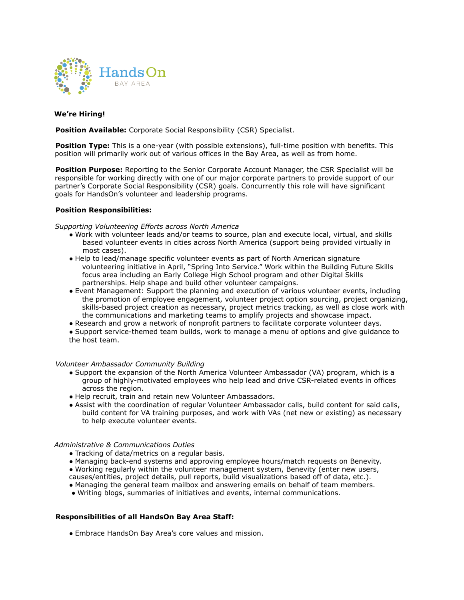

## **We're Hiring!**

**Position Available:** Corporate Social Responsibility (CSR) Specialist.

**Position Type:** This is a one-year (with possible extensions), full-time position with benefits. This position will primarily work out of various offices in the Bay Area, as well as from home.

**Position Purpose:** Reporting to the Senior Corporate Account Manager, the CSR Specialist will be responsible for working directly with one of our major corporate partners to provide support of our partner's Corporate Social Responsibility (CSR) goals. Concurrently this role will have significant goals for HandsOn's volunteer and leadership programs.

## **Position Responsibilities:**

*Supporting Volunteering Efforts across North America*

- Work with volunteer leads and/or teams to source, plan and execute local, virtual, and skills based volunteer events in cities across North America (support being provided virtually in most cases).
- Help to lead/manage specific volunteer events as part of North American signature volunteering initiative in April, "Spring Into Service." Work within the Building Future Skills focus area including an Early College High School program and other Digital Skills partnerships. Help shape and build other volunteer campaigns.
- Event Management: Support the planning and execution of various volunteer events, including the promotion of employee engagement, volunteer project option sourcing, project organizing, skills-based project creation as necessary, project metrics tracking, as well as close work with the communications and marketing teams to amplify projects and showcase impact.
- Research and grow a network of nonprofit partners to facilitate corporate volunteer days.

● Support service-themed team builds, work to manage a menu of options and give guidance to the host team.

#### *Volunteer Ambassador Community Building*

- Support the expansion of the North America Volunteer Ambassador (VA) program, which is a group of highly-motivated employees who help lead and drive CSR-related events in offices across the region.
- Help recruit, train and retain new Volunteer Ambassadors.
- Assist with the coordination of regular Volunteer Ambassador calls, build content for said calls, build content for VA training purposes, and work with VAs (net new or existing) as necessary to help execute volunteer events.

#### *Administrative & Communications Duties*

- Tracking of data/metrics on a regular basis.
- Managing back-end systems and approving employee hours/match requests on Benevity.
- Working regularly within the volunteer management system, Benevity (enter new users,
- causes/entities, project details, pull reports, build visualizations based off of data, etc.).
- Managing the general team mailbox and answering emails on behalf of team members.
- Writing blogs, summaries of initiatives and events, internal communications.

## **Responsibilities of all HandsOn Bay Area Staff:**

● Embrace HandsOn Bay Area's core values and mission.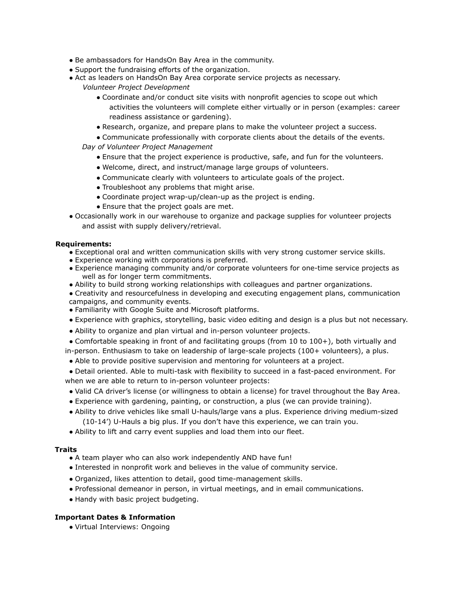- Be ambassadors for HandsOn Bay Area in the community.
- Support the fundraising efforts of the organization.
- Act as leaders on HandsOn Bay Area corporate service projects as necessary.
	- *Volunteer Project Development*
		- Coordinate and/or conduct site visits with nonprofit agencies to scope out which activities the volunteers will complete either virtually or in person (examples: career readiness assistance or gardening).
		- Research, organize, and prepare plans to make the volunteer project a success.
	- Communicate professionally with corporate clients about the details of the events.

*Day of Volunteer Project Management*

- Ensure that the project experience is productive, safe, and fun for the volunteers.
- Welcome, direct, and instruct/manage large groups of volunteers.
- Communicate clearly with volunteers to articulate goals of the project.
- Troubleshoot any problems that might arise.
- Coordinate project wrap-up/clean-up as the project is ending.
- Ensure that the project goals are met.
- Occasionally work in our warehouse to organize and package supplies for volunteer projects and assist with supply delivery/retrieval.

# **Requirements:**

- Exceptional oral and written communication skills with very strong customer service skills.
- Experience working with corporations is preferred.
- Experience managing community and/or corporate volunteers for one-time service projects as well as for longer term commitments.
- Ability to build strong working relationships with colleagues and partner organizations.
- Creativity and resourcefulness in developing and executing engagement plans, communication campaigns, and community events.
- Familiarity with Google Suite and Microsoft platforms.
- Experience with graphics, storytelling, basic video editing and design is a plus but not necessary.
- Ability to organize and plan virtual and in-person volunteer projects.
- Comfortable speaking in front of and facilitating groups (from 10 to 100+), both virtually and in-person. Enthusiasm to take on leadership of large-scale projects (100+ volunteers), a plus.
- Able to provide positive supervision and mentoring for volunteers at a project.
- Detail oriented. Able to multi-task with flexibility to succeed in a fast-paced environment. For when we are able to return to in-person volunteer projects:
- Valid CA driver's license (or willingness to obtain a license) for travel throughout the Bay Area.
- Experience with gardening, painting, or construction, a plus (we can provide training).
- Ability to drive vehicles like small U-hauls/large vans a plus. Experience driving medium-sized (10-14') U-Hauls a big plus. If you don't have this experience, we can train you.
- Ability to lift and carry event supplies and load them into our fleet.

# **Traits**

- A team player who can also work independently AND have fun!
- Interested in nonprofit work and believes in the value of community service.
- Organized, likes attention to detail, good time-management skills.
- Professional demeanor in person, in virtual meetings, and in email communications.
- Handy with basic project budgeting.

# **Important Dates & Information**

● Virtual Interviews: Ongoing